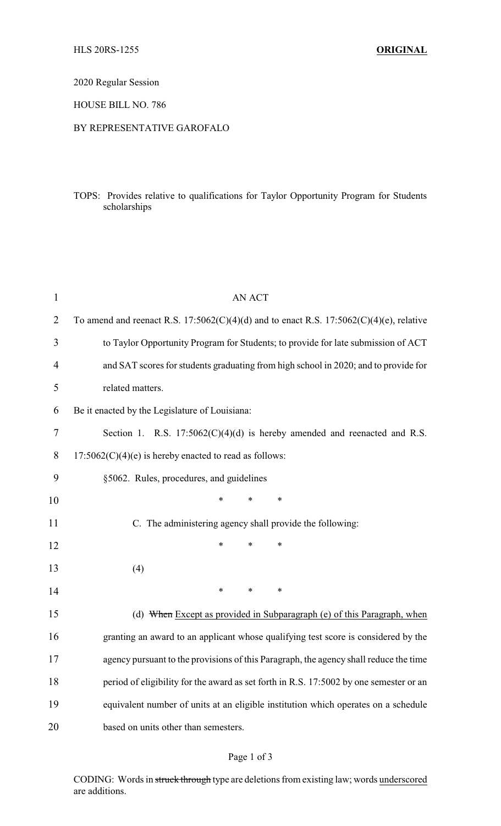2020 Regular Session

HOUSE BILL NO. 786

## BY REPRESENTATIVE GAROFALO

## TOPS: Provides relative to qualifications for Taylor Opportunity Program for Students scholarships

| $\mathbf{1}$ | <b>AN ACT</b>                                                                                |  |  |  |
|--------------|----------------------------------------------------------------------------------------------|--|--|--|
| 2            | To amend and reenact R.S. $17:5062(C)(4)(d)$ and to enact R.S. $17:5062(C)(4)(e)$ , relative |  |  |  |
| 3            | to Taylor Opportunity Program for Students; to provide for late submission of ACT            |  |  |  |
| 4            | and SAT scores for students graduating from high school in 2020; and to provide for          |  |  |  |
| 5            | related matters.                                                                             |  |  |  |
| 6            | Be it enacted by the Legislature of Louisiana:                                               |  |  |  |
| 7            | Section 1. R.S. $17:5062(C)(4)(d)$ is hereby amended and reenacted and R.S.                  |  |  |  |
| 8            | $17:5062(C)(4)(e)$ is hereby enacted to read as follows:                                     |  |  |  |
| 9            | §5062. Rules, procedures, and guidelines                                                     |  |  |  |
| 10           | $\ast$<br>$\ast$<br>∗                                                                        |  |  |  |
| 11           | C. The administering agency shall provide the following:                                     |  |  |  |
| 12           | ∗<br>∗<br>∗                                                                                  |  |  |  |
| 13           | (4)                                                                                          |  |  |  |
| 14           | $\ast$<br>$\ast$<br>$\ast$                                                                   |  |  |  |
| 15           | (d) When Except as provided in Subparagraph (e) of this Paragraph, when                      |  |  |  |
| 16           | granting an award to an applicant whose qualifying test score is considered by the           |  |  |  |
| 17           | agency pursuant to the provisions of this Paragraph, the agency shall reduce the time        |  |  |  |
| 18           | period of eligibility for the award as set forth in R.S. 17:5002 by one semester or an       |  |  |  |
| 19           | equivalent number of units at an eligible institution which operates on a schedule           |  |  |  |
| 20           | based on units other than semesters.                                                         |  |  |  |

## Page 1 of 3

CODING: Words in struck through type are deletions from existing law; words underscored are additions.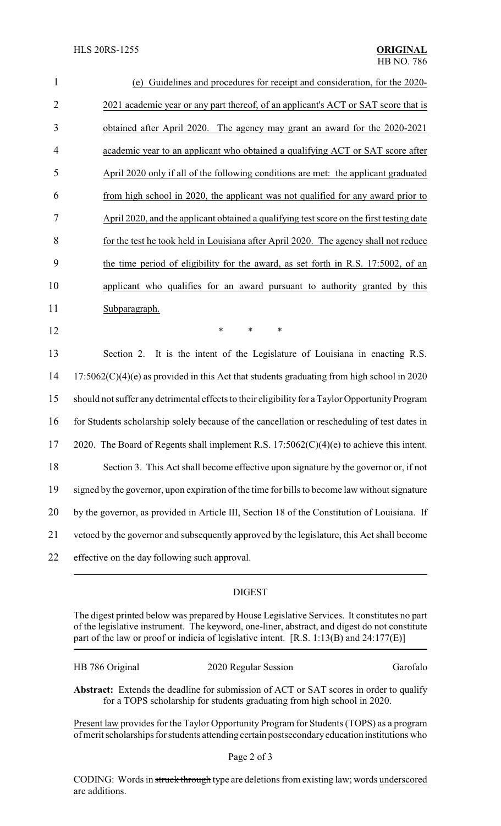| $\mathbf{1}$   | (e) Guidelines and procedures for receipt and consideration, for the 2020-                      |
|----------------|-------------------------------------------------------------------------------------------------|
| $\overline{2}$ | 2021 academic year or any part thereof, of an applicant's ACT or SAT score that is              |
| 3              | obtained after April 2020. The agency may grant an award for the 2020-2021                      |
| $\overline{4}$ | academic year to an applicant who obtained a qualifying ACT or SAT score after                  |
| 5              | April 2020 only if all of the following conditions are met: the applicant graduated             |
| 6              | from high school in 2020, the applicant was not qualified for any award prior to                |
| $\tau$         | April 2020, and the applicant obtained a qualifying test score on the first testing date        |
| 8              | for the test he took held in Louisiana after April 2020. The agency shall not reduce            |
| 9              | the time period of eligibility for the award, as set forth in R.S. 17:5002, of an               |
| 10             | applicant who qualifies for an award pursuant to authority granted by this                      |
| 11             | Subparagraph.                                                                                   |
| 12             | *<br>$\ast$<br>$\ast$                                                                           |
| 13             | Section 2. It is the intent of the Legislature of Louisiana in enacting R.S.                    |
| 14             | $17:5062(C)(4)(e)$ as provided in this Act that students graduating from high school in 2020    |
| 15             | should not suffer any detrimental effects to their eligibility for a Taylor Opportunity Program |
| 16             | for Students scholarship solely because of the cancellation or rescheduling of test dates in    |
| 17             | 2020. The Board of Regents shall implement R.S. $17:5062(C)(4)(e)$ to achieve this intent.      |
| 18             | Section 3. This Act shall become effective upon signature by the governor or, if not            |
| 19             | signed by the governor, upon expiration of the time for bills to become law without signature   |
| 20             | by the governor, as provided in Article III, Section 18 of the Constitution of Louisiana. If    |
| 21             | vetoed by the governor and subsequently approved by the legislature, this Act shall become      |
| 22             | effective on the day following such approval.                                                   |

## DIGEST

The digest printed below was prepared by House Legislative Services. It constitutes no part of the legislative instrument. The keyword, one-liner, abstract, and digest do not constitute part of the law or proof or indicia of legislative intent. [R.S. 1:13(B) and 24:177(E)]

| HB 786 Original | 2020 Regular Session | Garofalo |
|-----------------|----------------------|----------|
|-----------------|----------------------|----------|

**Abstract:** Extends the deadline for submission of ACT or SAT scores in order to qualify for a TOPS scholarship for students graduating from high school in 2020.

Present law provides for the Taylor Opportunity Program for Students (TOPS) as a program of merit scholarships for students attending certain postsecondaryeducation institutions who

CODING: Words in struck through type are deletions from existing law; words underscored are additions.